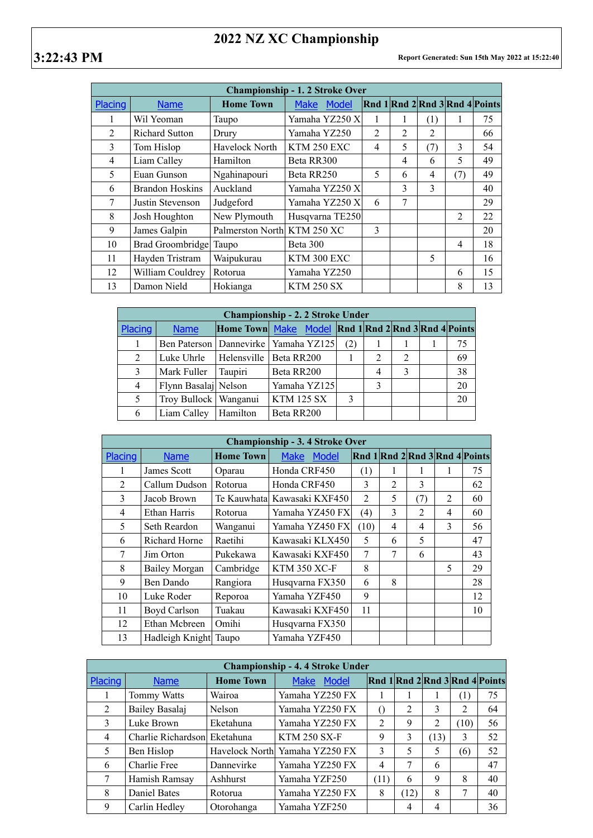## **2022 NZ XC Championship**

|                | <b>Championship - 1.2 Stroke Over</b> |                             |                      |                             |                |                |                |                                |  |  |  |
|----------------|---------------------------------------|-----------------------------|----------------------|-----------------------------|----------------|----------------|----------------|--------------------------------|--|--|--|
| Placing        | <b>Name</b>                           | <b>Home Town</b>            | Model<br><b>Make</b> |                             |                |                |                | Rnd 1 Rnd 2 Rnd 3 Rnd 4 Points |  |  |  |
|                | Wil Yeoman                            | Taupo                       | Yamaha YZ250 X       |                             |                | (1)            |                | 75                             |  |  |  |
| $\overline{2}$ | <b>Richard Sutton</b>                 | Drury                       | Yamaha YZ250         | $\mathcal{D}_{\mathcal{L}}$ | $\mathfrak{D}$ | $\mathfrak{D}$ |                | 66                             |  |  |  |
| 3              | Tom Hislop                            | <b>Havelock North</b>       | KTM 250 EXC          | 4                           | 5              | (7)            | 3              | 54                             |  |  |  |
| $\overline{4}$ | Liam Calley                           | Hamilton                    | Beta RR300           |                             | 4              | 6              | 5              | 49                             |  |  |  |
| 5              | Euan Gunson                           | Ngahinapouri                | Beta RR250           | 5                           | 6              | 4              | (7)            | 49                             |  |  |  |
| 6              | <b>Brandon Hoskins</b>                | Auckland                    | Yamaha YZ250 X       |                             | 3              | 3              |                | 40                             |  |  |  |
| 7              | Justin Stevenson                      | Judgeford                   | Yamaha YZ250 X       | 6                           | 7              |                |                | 29                             |  |  |  |
| 8              | Josh Houghton                         | New Plymouth                | Husqvarna TE250      |                             |                |                | $\mathfrak{D}$ | 22                             |  |  |  |
| 9              | James Galpin                          | Palmerston North KTM 250 XC |                      | 3                           |                |                |                | 20                             |  |  |  |
| 10             | Brad Groombridge Taupo                |                             | Beta 300             |                             |                |                | 4              | 18                             |  |  |  |
| 11             | Hayden Tristram                       | Waipukurau                  | KTM 300 EXC          |                             |                | 5              |                | 16                             |  |  |  |
| 12             | William Couldrey                      | Rotorua                     | Yamaha YZ250         |                             |                |                | 6              | 15                             |  |  |  |
| 13             | Damon Nield                           | Hokianga                    | <b>KTM 250 SX</b>    |                             |                |                | 8              | 13                             |  |  |  |

|                | <b>Championship - 2. 2 Stroke Under</b> |          |                                                     |     |                |                |  |    |  |  |  |
|----------------|-----------------------------------------|----------|-----------------------------------------------------|-----|----------------|----------------|--|----|--|--|--|
| Placing        | <b>Name</b>                             |          | Home Town Make Model Rnd 1 Rnd 2 Rnd 3 Rnd 4 Points |     |                |                |  |    |  |  |  |
|                |                                         |          | Ben Paterson   Dannevirke   Yamaha YZ125            | (2) |                |                |  | 75 |  |  |  |
| 2              | Luke Uhrle                              |          | Helensville   Beta RR200                            |     | $\overline{2}$ | $\overline{2}$ |  | 69 |  |  |  |
| 3              | Mark Fuller                             | Taupiri  | Beta RR200                                          |     | $\overline{4}$ | 3              |  | 38 |  |  |  |
| $\overline{4}$ | Flynn Basalaj Nelson                    |          | Yamaha YZ125                                        |     | 3              |                |  | 20 |  |  |  |
| 5              | Troy Bullock   Wanganui                 |          | <b>KTM 125 SX</b>                                   | 3   |                |                |  | 20 |  |  |  |
| 6              | Liam Calley                             | Hamilton | Beta RR200                                          |     |                |                |  |    |  |  |  |

|         | <b>Championship - 3.4 Stroke Over</b> |                  |                      |                |                |                |                |                                |  |  |
|---------|---------------------------------------|------------------|----------------------|----------------|----------------|----------------|----------------|--------------------------------|--|--|
| Placing | <b>Name</b>                           | <b>Home Town</b> | <b>Make</b><br>Model |                |                |                |                | Rnd 1 Rnd 2 Rnd 3 Rnd 4 Points |  |  |
| 1       | James Scott                           | Oparau           | Honda CRF450         | (1)            |                | 1              |                | 75                             |  |  |
| 2       | Callum Dudson                         | Rotorua          | Honda CRF450         | 3              | $\overline{2}$ | 3              |                | 62                             |  |  |
| 3       | Jacob Brown                           | Te Kauwhata      | Kawasaki KXF450      | $\overline{2}$ | 5              | (7)            | $\overline{2}$ | 60                             |  |  |
| 4       | Ethan Harris                          | Rotorua          | Yamaha YZ450 FX      | (4)            | 3              | $\overline{2}$ | 4              | 60                             |  |  |
| 5       | Seth Reardon                          | Wanganui         | Yamaha YZ450 FX      | (10)           | 4              | 4              | 3              | 56                             |  |  |
| 6       | <b>Richard Horne</b>                  | Raetihi          | Kawasaki KLX450      | 5              | 6              | 5              |                | 47                             |  |  |
| 7       | Jim Orton                             | Pukekawa         | Kawasaki KXF450      | 7              | 7              | 6              |                | 43                             |  |  |
| 8       | Bailey Morgan                         | Cambridge        | <b>KTM 350 XC-F</b>  | 8              |                |                | 5              | 29                             |  |  |
| 9       | Ben Dando                             | Rangiora         | Husqvarna FX350      | 6              | 8              |                |                | 28                             |  |  |
| 10      | Luke Roder                            | Reporoa          | Yamaha YZF450        | 9              |                |                |                | 12                             |  |  |
| 11      | Boyd Carlson                          | Tuakau           | Kawasaki KXF450      | 11             |                |                |                | 10                             |  |  |
| 12      | Ethan Mcbreen                         | Omihi            | Husqvarna FX350      |                |                |                |                |                                |  |  |
| 13      | Hadleigh Knight Taupo                 |                  | Yamaha YZF450        |                |                |                |                |                                |  |  |

|         | <b>Championship - 4.4 Stroke Under</b> |                  |                                |                  |                |                |                  |                                |  |  |  |
|---------|----------------------------------------|------------------|--------------------------------|------------------|----------------|----------------|------------------|--------------------------------|--|--|--|
| Placing | <b>Name</b>                            | <b>Home Town</b> | <b>Model</b><br><b>Make</b>    |                  |                |                |                  | Rnd 1 Rnd 2 Rnd 3 Rnd 4 Points |  |  |  |
|         | Tommy Watts                            | Wairoa           | Yamaha YZ250 FX                |                  |                |                | $\left(1\right)$ | 75                             |  |  |  |
| 2       | Bailey Basalaj                         | Nelson           | Yamaha YZ250 FX                | $\left( \right)$ | $\overline{2}$ | 3              | 2                | 64                             |  |  |  |
| 3       | Luke Brown                             | Eketahuna        | Yamaha YZ250 FX                | $\overline{2}$   | 9              | $\overline{2}$ | (10)             | 56                             |  |  |  |
| 4       | Charlie Richardson Eketahuna           |                  | <b>KTM 250 SX-F</b>            | 9                | 3              | (13)           | 3                | 52                             |  |  |  |
| 5       | Ben Hislop                             |                  | Havelock North Yamaha YZ250 FX | 3                | 5              | 5              | (6)              | 52                             |  |  |  |
| 6       | Charlie Free                           | Dannevirke       | Yamaha YZ250 FX                | 4                | 7              | 6              |                  | 47                             |  |  |  |
|         | Hamish Ramsay                          | Ashhurst         | Yamaha YZF250                  | (11)             | 6              | 9              | 8                | 40                             |  |  |  |
| 8       | Daniel Bates                           | Rotorua          | Yamaha YZ250 FX                | 8                | (12)           | 8              | 7                | 40                             |  |  |  |
| 9       | Carlin Hedley                          | Otorohanga       | Yamaha YZF250                  |                  | 4              | 4              |                  | 36                             |  |  |  |